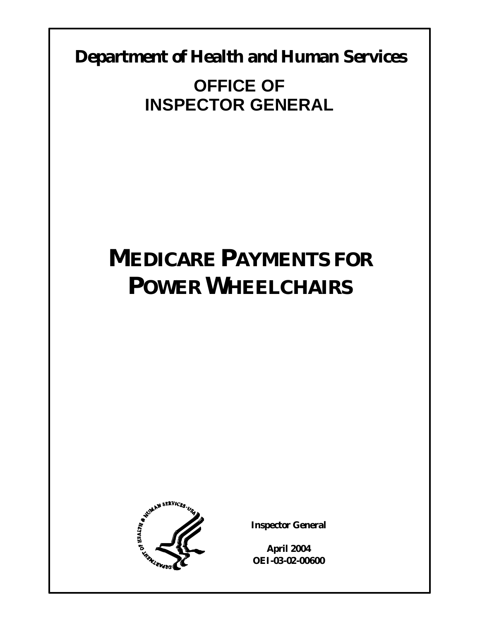**Department of Health and Human Services** 

**OFFICE OF INSPECTOR GENERAL** 

# **MEDICARE PAYMENTS FOR POWER WHEELCHAIRS**



**Inspector General** 

**April 2004 OEI-03-02-00600**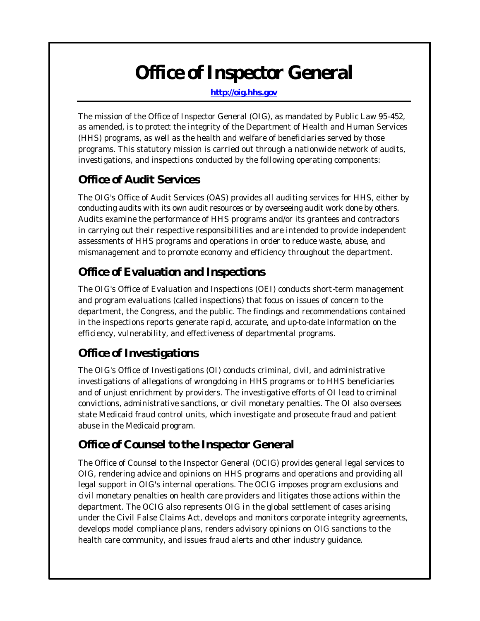# *Office of Inspector General*

**http://oig.hhs.gov** 

The mission of the Office of Inspector General (OIG), as mandated by Public Law 95-452, as amended, is to protect the integrity of the Department of Health and Human Services (HHS) programs, as well as the health and welfare of beneficiaries served by those programs. This statutory mission is carried out through a nationwide network of audits, investigations, and inspections conducted by the following operating components:

# *Office of Audit Services*

The OIG's Office of Audit Services (OAS) provides all auditing services for HHS, either by conducting audits with its own audit resources or by overseeing audit work done by others. Audits examine the performance of HHS programs and/or its grantees and contractors in carrying out their respective responsibilities and are intended to provide independent assessments of HHS programs and operations in order to reduce waste, abuse, and mismanagement and to promote economy and efficiency throughout the department.

# *Office of Evaluation and Inspections*

The OIG's Office of Evaluation and Inspections (OEI) conducts short-term management and program evaluations (called inspections) that focus on issues of concern to the department, the Congress, and the public. The findings and recommendations contained in the inspections reports generate rapid, accurate, and up-to-date information on the efficiency, vulnerability, and effectiveness of departmental programs.

# *Office of Investigations*

The OIG's Office of Investigations (OI) conducts criminal, civil, and administrative investigations of allegations of wrongdoing in HHS programs or to HHS beneficiaries and of unjust enrichment by providers. The investigative efforts of OI lead to criminal convictions, administrative sanctions, or civil monetary penalties. The OI also oversees state Medicaid fraud control units, which investigate and prosecute fraud and patient abuse in the Medicaid program.

# *Office of Counsel to the Inspector General*

The Office of Counsel to the Inspector General (OCIG) provides general legal services to OIG, rendering advice and opinions on HHS programs and operations and providing all legal support in OIG's internal operations. The OCIG imposes program exclusions and civil monetary penalties on health care providers and litigates those actions within the department. The OCIG also represents OIG in the global settlement of cases arising under the Civil False Claims Act, develops and monitors corporate integrity agreements, develops model compliance plans, renders advisory opinions on OIG sanctions to the health care community, and issues fraud alerts and other industry guidance.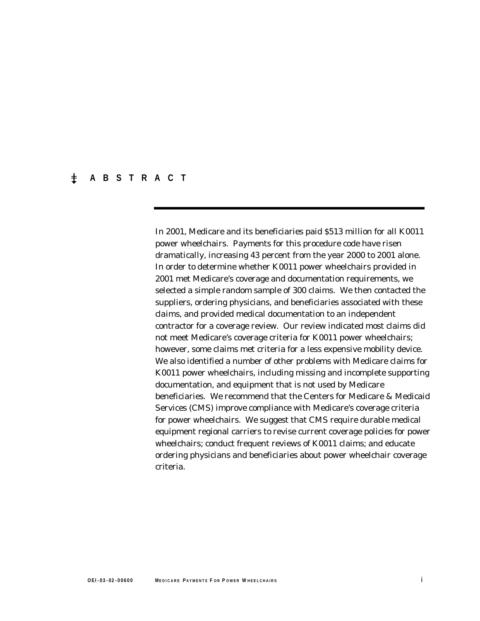## � **ABSTRACT**

In 2001, Medicare and its beneficiaries paid \$513 million for all K0011 power wheelchairs. Payments for this procedure code have risen dramatically, increasing 43 percent from the year 2000 to 2001 alone. In order to determine whether K0011 power wheelchairs provided in 2001 met Medicare's coverage and documentation requirements, we selected a simple random sample of 300 claims. We then contacted the suppliers, ordering physicians, and beneficiaries associated with these claims, and provided medical documentation to an independent contractor for a coverage review. Our review indicated most claims did not meet Medicare's coverage criteria for K0011 power wheelchairs; however, some claims met criteria for a less expensive mobility device. We also identified a number of other problems with Medicare claims for K0011 power wheelchairs, including missing and incomplete supporting documentation, and equipment that is not used by Medicare beneficiaries. We recommend that the Centers for Medicare & Medicaid Services (CMS) improve compliance with Medicare's coverage criteria for power wheelchairs. We suggest that CMS require durable medical equipment regional carriers to revise current coverage policies for power wheelchairs; conduct frequent reviews of K0011 claims; and educate ordering physicians and beneficiaries about power wheelchair coverage criteria.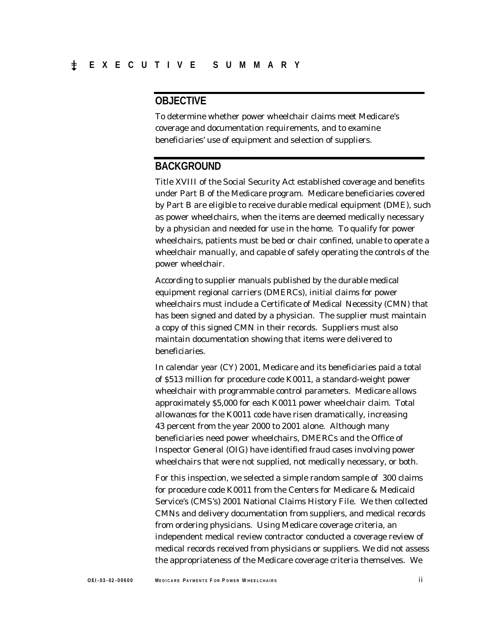# **OBJECTIVE**

To determine whether power wheelchair claims meet Medicare's coverage and documentation requirements, and to examine beneficiaries' use of equipment and selection of suppliers.

## **BACKGROUND**

Title XVIII of the Social Security Act established coverage and benefits under Part B of the Medicare program. Medicare beneficiaries covered by Part B are eligible to receive durable medical equipment (DME), such as power wheelchairs, when the items are deemed medically necessary by a physician and needed for use in the home. To qualify for power wheelchairs, patients must be bed or chair confined, unable to operate a wheelchair manually, and capable of safely operating the controls of the power wheelchair.

According to supplier manuals published by the durable medical equipment regional carriers (DMERCs), initial claims for power wheelchairs must include a Certificate of Medical Necessity (CMN) that has been signed and dated by a physician. The supplier must maintain a copy of this signed CMN in their records. Suppliers must also maintain documentation showing that items were delivered to beneficiaries.

In calendar year (CY) 2001, Medicare and its beneficiaries paid a total of \$513 million for procedure code K0011, a standard-weight power wheelchair with programmable control parameters. Medicare allows approximately \$5,000 for each K0011 power wheelchair claim. Total allowances for the K0011 code have risen dramatically, increasing 43 percent from the year 2000 to 2001 alone. Although many beneficiaries need power wheelchairs, DMERCs and the Office of Inspector General (OIG) have identified fraud cases involving power wheelchairs that were not supplied, not medically necessary, or both.

For this inspection, we selected a simple random sample of 300 claims for procedure code K0011 from the Centers for Medicare & Medicaid Service's (CMS's) 2001 National Claims History File. We then collected CMNs and delivery documentation from suppliers, and medical records from ordering physicians. Using Medicare coverage criteria, an independent medical review contractor conducted a coverage review of medical records received from physicians or suppliers. We did not assess the appropriateness of the Medicare coverage criteria themselves. We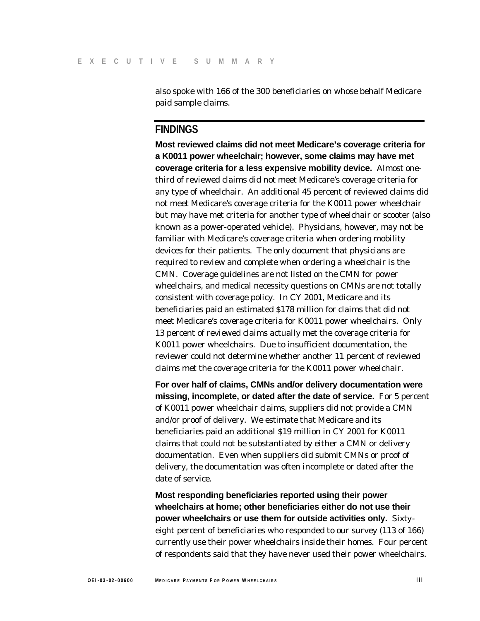also spoke with 166 of the 300 beneficiaries on whose behalf Medicare paid sample claims.

## **FINDINGS**

**Most reviewed claims did not meet Medicare's coverage criteria for a K0011 power wheelchair; however, some claims may have met coverage criteria for a less expensive mobility device.** Almost onethird of reviewed claims did not meet Medicare's coverage criteria for any type of wheelchair. An additional 45 percent of reviewed claims did not meet Medicare's coverage criteria for the K0011 power wheelchair but may have met criteria for another type of wheelchair or scooter (also known as a power-operated vehicle). Physicians, however, may not be familiar with Medicare's coverage criteria when ordering mobility devices for their patients. The only document that physicians are required to review and complete when ordering a wheelchair is the CMN. Coverage guidelines are not listed on the CMN for power wheelchairs, and medical necessity questions on CMNs are not totally consistent with coverage policy. In CY 2001, Medicare and its beneficiaries paid an estimated \$178 million for claims that did not meet Medicare's coverage criteria for K0011 power wheelchairs. Only 13 percent of reviewed claims actually met the coverage criteria for K0011 power wheelchairs. Due to insufficient documentation, the reviewer could not determine whether another 11 percent of reviewed claims met the coverage criteria for the K0011 power wheelchair.

**For over half of claims, CMNs and/or delivery documentation were missing, incomplete, or dated after the date of service.** For 5 percent of K0011 power wheelchair claims, suppliers did not provide a CMN and/or proof of delivery. We estimate that Medicare and its beneficiaries paid an additional \$19 million in CY 2001 for K0011 claims that could not be substantiated by either a CMN or delivery documentation. Even when suppliers did submit CMNs or proof of delivery, the documentation was often incomplete or dated after the date of service.

**Most responding beneficiaries reported using their power wheelchairs at home; other beneficiaries either do not use their power wheelchairs or use them for outside activities only.** Sixtyeight percent of beneficiaries who responded to our survey (113 of 166) currently use their power wheelchairs inside their homes. Four percent of respondents said that they have never used their power wheelchairs.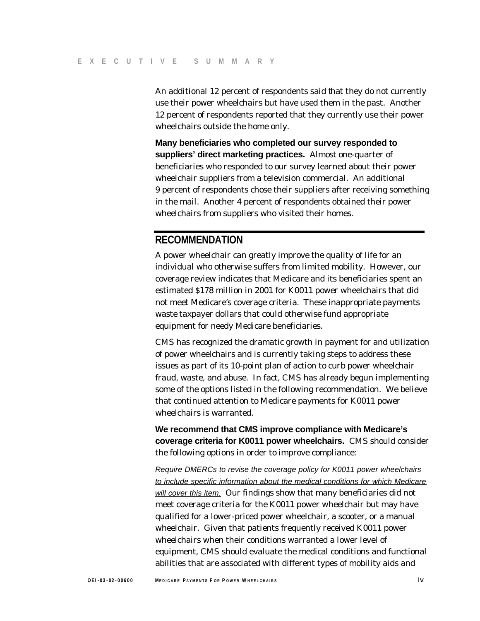An additional 12 percent of respondents said that they do not currently use their power wheelchairs but have used them in the past. Another 12 percent of respondents reported that they currently use their power wheelchairs outside the home only.

**Many beneficiaries who completed our survey responded to suppliers' direct marketing practices.** Almost one-quarter of beneficiaries who responded to our survey learned about their power wheelchair suppliers from a television commercial. An additional 9 percent of respondents chose their suppliers after receiving something in the mail. Another 4 percent of respondents obtained their power wheelchairs from suppliers who visited their homes.

## **RECOMMENDATION**

A power wheelchair can greatly improve the quality of life for an individual who otherwise suffers from limited mobility. However, our coverage review indicates that Medicare and its beneficiaries spent an estimated \$178 million in 2001 for K0011 power wheelchairs that did not meet Medicare's coverage criteria. These inappropriate payments waste taxpayer dollars that could otherwise fund appropriate equipment for needy Medicare beneficiaries.

CMS has recognized the dramatic growth in payment for and utilization of power wheelchairs and is currently taking steps to address these issues as part of its 10-point plan of action to curb power wheelchair fraud, waste, and abuse. In fact, CMS has already begun implementing some of the options listed in the following recommendation. We believe that continued attention to Medicare payments for K0011 power wheelchairs is warranted.

**We recommend that CMS improve compliance with Medicare's coverage criteria for K0011 power wheelchairs.** CMS should consider the following options in order to improve compliance:

*Require DMERCs to revise the coverage policy for K0011 power wheelchairs to include specific information about the medical conditions for which Medicare will cover this item.* Our findings show that many beneficiaries did not meet coverage criteria for the K0011 power wheelchair but may have qualified for a lower-priced power wheelchair, a scooter, or a manual wheelchair. Given that patients frequently received K0011 power wheelchairs when their conditions warranted a lower level of equipment, CMS should evaluate the medical conditions and functional abilities that are associated with different types of mobility aids and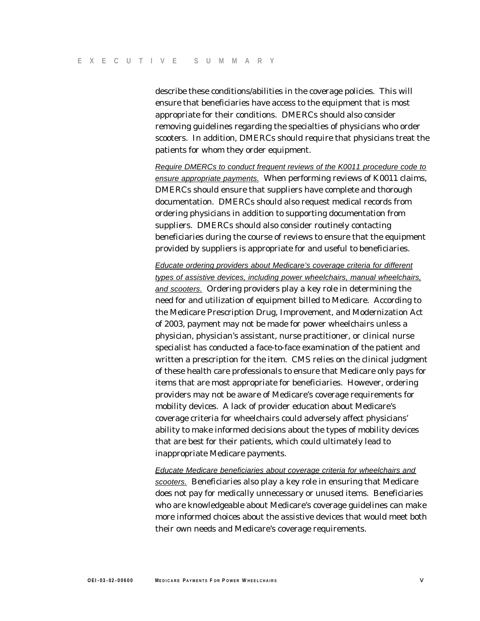describe these conditions/abilities in the coverage policies. This will ensure that beneficiaries have access to the equipment that is most appropriate for their conditions. DMERCs should also consider removing guidelines regarding the specialties of physicians who order scooters. In addition, DMERCs should require that physicians treat the patients for whom they order equipment.

*Require DMERCs to conduct frequent reviews of the K0011 procedure code to ensure appropriate payments.* When performing reviews of K0011 claims, DMERCs should ensure that suppliers have complete and thorough documentation. DMERCs should also request medical records from ordering physicians in addition to supporting documentation from suppliers. DMERCs should also consider routinely contacting beneficiaries during the course of reviews to ensure that the equipment provided by suppliers is appropriate for and useful to beneficiaries.

*Educate ordering providers about Medicare's coverage criteria for different types of assistive devices, including power wheelchairs, manual wheelchairs, and scooters.* Ordering providers play a key role in determining the need for and utilization of equipment billed to Medicare. According to the Medicare Prescription Drug, Improvement, and Modernization Act of 2003, payment may not be made for power wheelchairs unless a physician, physician's assistant, nurse practitioner, or clinical nurse specialist has conducted a face-to-face examination of the patient and written a prescription for the item. CMS relies on the clinical judgment of these health care professionals to ensure that Medicare only pays for items that are most appropriate for beneficiaries. However, ordering providers may not be aware of Medicare's coverage requirements for mobility devices. A lack of provider education about Medicare's coverage criteria for wheelchairs could adversely affect physicians' ability to make informed decisions about the types of mobility devices that are best for their patients, which could ultimately lead to inappropriate Medicare payments.

*Educate Medicare beneficiaries about coverage criteria for wheelchairs and scooters.* Beneficiaries also play a key role in ensuring that Medicare does not pay for medically unnecessary or unused items. Beneficiaries who are knowledgeable about Medicare's coverage guidelines can make more informed choices about the assistive devices that would meet both their own needs and Medicare's coverage requirements.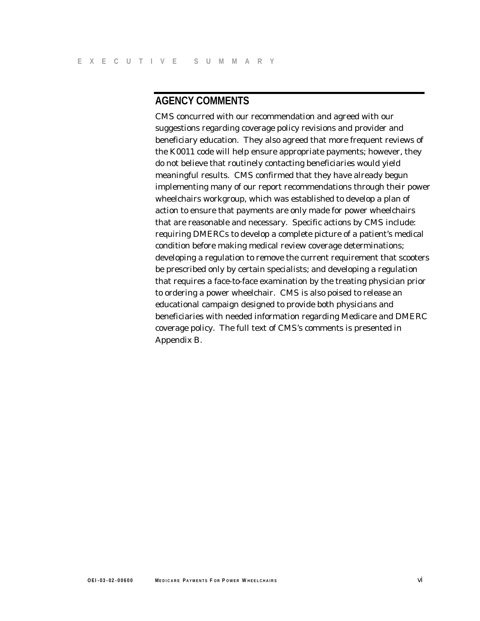# **AGENCY COMMENTS**

CMS concurred with our recommendation and agreed with our suggestions regarding coverage policy revisions and provider and beneficiary education. They also agreed that more frequent reviews of the K0011 code will help ensure appropriate payments; however, they do not believe that routinely contacting beneficiaries would yield meaningful results. CMS confirmed that they have already begun implementing many of our report recommendations through their power wheelchairs workgroup, which was established to develop a plan of action to ensure that payments are only made for power wheelchairs that are reasonable and necessary. Specific actions by CMS include: requiring DMERCs to develop a complete picture of a patient's medical condition before making medical review coverage determinations; developing a regulation to remove the current requirement that scooters be prescribed only by certain specialists; and developing a regulation that requires a face-to-face examination by the treating physician prior to ordering a power wheelchair. CMS is also poised to release an educational campaign designed to provide both physicians and beneficiaries with needed information regarding Medicare and DMERC coverage policy. The full text of CMS's comments is presented in Appendix B.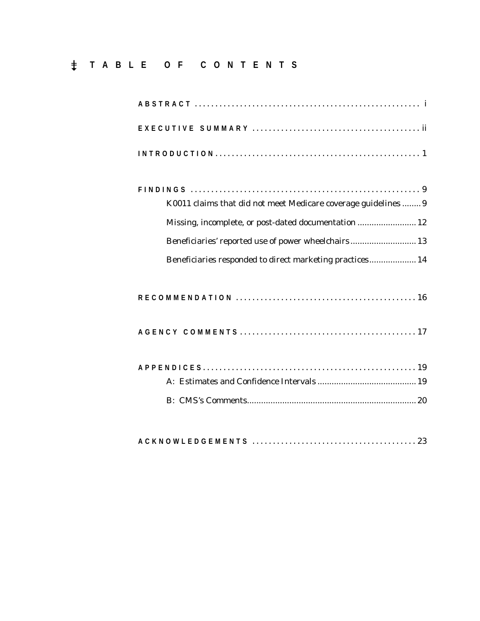# � **TABLE OF CONTENTS**

| K0011 claims that did not meet Medicare coverage guidelines  9<br>Missing, incomplete, or post-dated documentation  12<br>Beneficiaries' reported use of power wheelchairs 13<br>Beneficiaries responded to direct marketing practices 14 |
|-------------------------------------------------------------------------------------------------------------------------------------------------------------------------------------------------------------------------------------------|
|                                                                                                                                                                                                                                           |
|                                                                                                                                                                                                                                           |
|                                                                                                                                                                                                                                           |
|                                                                                                                                                                                                                                           |
|                                                                                                                                                                                                                                           |

|--|--|--|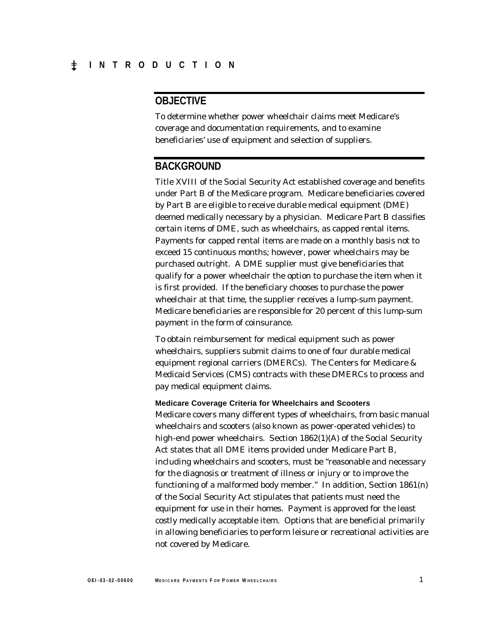# **OBJECTIVE**

To determine whether power wheelchair claims meet Medicare's coverage and documentation requirements, and to examine beneficiaries' use of equipment and selection of suppliers.

## **BACKGROUND**

Title XVIII of the Social Security Act established coverage and benefits under Part B of the Medicare program. Medicare beneficiaries covered by Part B are eligible to receive durable medical equipment (DME) deemed medically necessary by a physician. Medicare Part B classifies certain items of DME, such as wheelchairs, as capped rental items. Payments for capped rental items are made on a monthly basis not to exceed 15 continuous months; however, power wheelchairs may be purchased outright. A DME supplier must give beneficiaries that qualify for a power wheelchair the option to purchase the item when it is first provided. If the beneficiary chooses to purchase the power wheelchair at that time, the supplier receives a lump-sum payment. Medicare beneficiaries are responsible for 20 percent of this lump-sum payment in the form of coinsurance.

To obtain reimbursement for medical equipment such as power wheelchairs, suppliers submit claims to one of four durable medical equipment regional carriers (DMERCs). The Centers for Medicare & Medicaid Services (CMS) contracts with these DMERCs to process and pay medical equipment claims.

#### **Medicare Coverage Criteria for Wheelchairs and Scooters**

Medicare covers many different types of wheelchairs, from basic manual wheelchairs and scooters (also known as power-operated vehicles) to high-end power wheelchairs. Section 1862(1)(A) of the Social Security Act states that all DME items provided under Medicare Part B, including wheelchairs and scooters, must be "reasonable and necessary for the diagnosis or treatment of illness or injury or to improve the functioning of a malformed body member." In addition, Section 1861(n) of the Social Security Act stipulates that patients must need the equipment for use in their homes. Payment is approved for the least costly medically acceptable item. Options that are beneficial primarily in allowing beneficiaries to perform leisure or recreational activities are not covered by Medicare.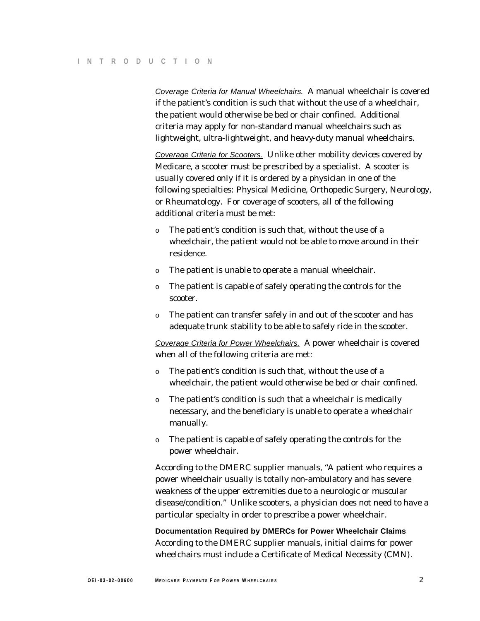*Coverage Criteria for Manual Wheelchairs.* A manual wheelchair is covered if the patient's condition is such that without the use of a wheelchair, the patient would otherwise be bed or chair confined. Additional criteria may apply for non-standard manual wheelchairs such as lightweight, ultra-lightweight, and heavy-duty manual wheelchairs.

*Coverage Criteria for Scooters.* Unlike other mobility devices covered by Medicare, a scooter must be prescribed by a specialist. A scooter is usually covered only if it is ordered by a physician in one of the following specialties: Physical Medicine, Orthopedic Surgery, Neurology, or Rheumatology. For coverage of scooters, all of the following additional criteria must be met:

- o The patient's condition is such that, without the use of a wheelchair, the patient would not be able to move around in their residence.
- o The patient is unable to operate a manual wheelchair.
- o The patient is capable of safely operating the controls for the scooter.
- o The patient can transfer safely in and out of the scooter and has adequate trunk stability to be able to safely ride in the scooter.

*Coverage Criteria for Power Wheelchairs.* A power wheelchair is covered when all of the following criteria are met:

- o The patient's condition is such that, without the use of a wheelchair, the patient would otherwise be bed or chair confined.
- o The patient's condition is such that a wheelchair is medically necessary, and the beneficiary is unable to operate a wheelchair manually.
- o The patient is capable of safely operating the controls for the power wheelchair.

According to the DMERC supplier manuals, "A patient who requires a power wheelchair usually is totally non-ambulatory and has severe weakness of the upper extremities due to a neurologic or muscular disease/condition." Unlike scooters, a physician does not need to have a particular specialty in order to prescribe a power wheelchair.

**Documentation Required by DMERCs for Power Wheelchair Claims**  According to the DMERC supplier manuals, initial claims for power wheelchairs must include a Certificate of Medical Necessity (CMN).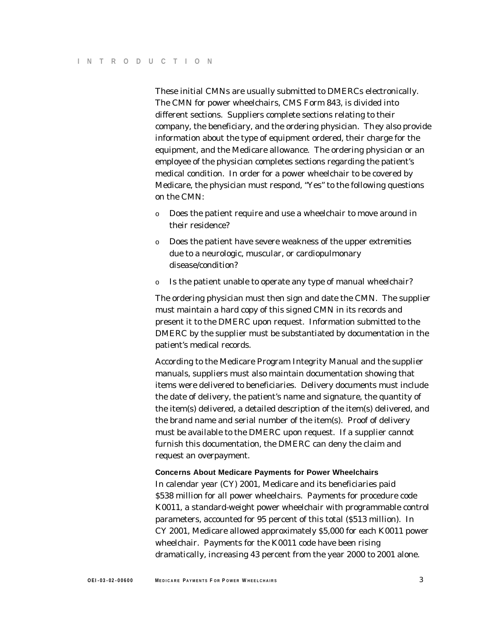These initial CMNs are usually submitted to DMERCs electronically. The CMN for power wheelchairs, CMS Form 843, is divided into different sections. Suppliers complete sections relating to their company, the beneficiary, and the ordering physician. They also provide information about the type of equipment ordered, their charge for the equipment, and the Medicare allowance. The ordering physician or an employee of the physician completes sections regarding the patient's medical condition. In order for a power wheelchair to be covered by Medicare, the physician must respond, "Yes" to the following questions on the CMN:

- o Does the patient require and use a wheelchair to move around in their residence?
- o Does the patient have severe weakness of the upper extremities due to a neurologic, muscular, or cardiopulmonary disease/condition?
- o Is the patient unable to operate any type of manual wheelchair?

The ordering physician must then sign and date the CMN. The supplier must maintain a hard copy of this signed CMN in its records and present it to the DMERC upon request. Information submitted to the DMERC by the supplier must be substantiated by documentation in the patient's medical records.

According to the Medicare Program Integrity Manual and the supplier manuals, suppliers must also maintain documentation showing that items were delivered to beneficiaries. Delivery documents must include the date of delivery, the patient's name and signature, the quantity of the item(s) delivered, a detailed description of the item(s) delivered, and the brand name and serial number of the item(s). Proof of delivery must be available to the DMERC upon request. If a supplier cannot furnish this documentation, the DMERC can deny the claim and request an overpayment.

#### **Concerns About Medicare Payments for Power Wheelchairs**

In calendar year (CY) 2001, Medicare and its beneficiaries paid \$538 million for all power wheelchairs. Payments for procedure code K0011, a standard-weight power wheelchair with programmable control parameters, accounted for 95 percent of this total (\$513 million). In CY 2001, Medicare allowed approximately \$5,000 for each K0011 power wheelchair. Payments for the K0011 code have been rising dramatically, increasing 43 percent from the year 2000 to 2001 alone.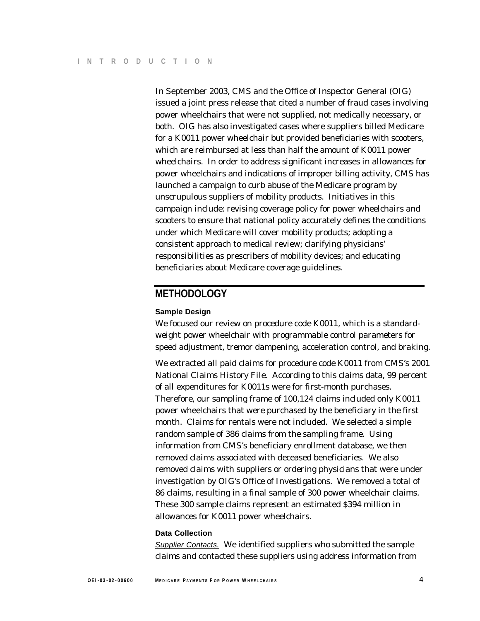In September 2003, CMS and the Office of Inspector General (OIG) issued a joint press release that cited a number of fraud cases involving power wheelchairs that were not supplied, not medically necessary, or both. OIG has also investigated cases where suppliers billed Medicare for a K0011 power wheelchair but provided beneficiaries with scooters, which are reimbursed at less than half the amount of K0011 power wheelchairs. In order to address significant increases in allowances for power wheelchairs and indications of improper billing activity, CMS has launched a campaign to curb abuse of the Medicare program by unscrupulous suppliers of mobility products. Initiatives in this campaign include: revising coverage policy for power wheelchairs and scooters to ensure that national policy accurately defines the conditions under which Medicare will cover mobility products; adopting a consistent approach to medical review; clarifying physicians' responsibilities as prescribers of mobility devices; and educating beneficiaries about Medicare coverage guidelines.

## **METHODOLOGY**

#### **Sample Design**

We focused our review on procedure code K0011, which is a standardweight power wheelchair with programmable control parameters for speed adjustment, tremor dampening, acceleration control, and braking.

We extracted all paid claims for procedure code K0011 from CMS's 2001 National Claims History File. According to this claims data, 99 percent of all expenditures for K0011s were for first-month purchases. Therefore, our sampling frame of 100,124 claims included only K0011 power wheelchairs that were purchased by the beneficiary in the first month. Claims for rentals were not included. We selected a simple random sample of 386 claims from the sampling frame. Using information from CMS's beneficiary enrollment database, we then removed claims associated with deceased beneficiaries. We also removed claims with suppliers or ordering physicians that were under investigation by OIG's Office of Investigations. We removed a total of 86 claims, resulting in a final sample of 300 power wheelchair claims. These 300 sample claims represent an estimated \$394 million in allowances for K0011 power wheelchairs.

#### **Data Collection**

*Supplier Contacts.* We identified suppliers who submitted the sample claims and contacted these suppliers using address information from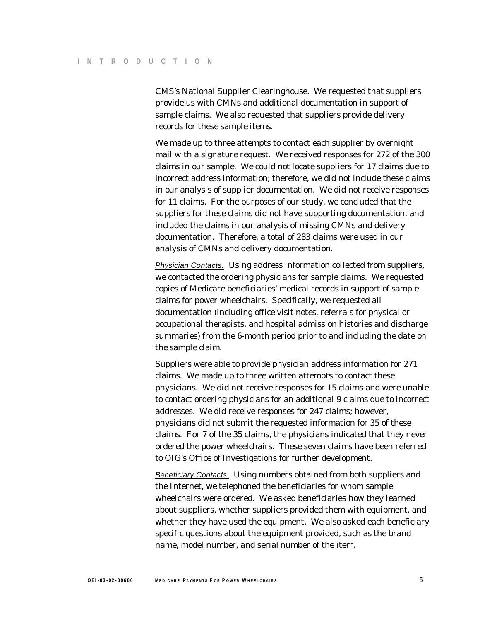CMS's National Supplier Clearinghouse. We requested that suppliers provide us with CMNs and additional documentation in support of sample claims. We also requested that suppliers provide delivery records for these sample items.

We made up to three attempts to contact each supplier by overnight mail with a signature request. We received responses for 272 of the 300 claims in our sample. We could not locate suppliers for 17 claims due to incorrect address information; therefore, we did not include these claims in our analysis of supplier documentation. We did not receive responses for 11 claims. For the purposes of our study, we concluded that the suppliers for these claims did not have supporting documentation, and included the claims in our analysis of missing CMNs and delivery documentation. Therefore, a total of 283 claims were used in our analysis of CMNs and delivery documentation.

*Physician Contacts.* Using address information collected from suppliers, we contacted the ordering physicians for sample claims. We requested copies of Medicare beneficiaries' medical records in support of sample claims for power wheelchairs. Specifically, we requested all documentation (including office visit notes, referrals for physical or occupational therapists, and hospital admission histories and discharge summaries) from the 6-month period prior to and including the date on the sample claim.

Suppliers were able to provide physician address information for 271 claims. We made up to three written attempts to contact these physicians. We did not receive responses for 15 claims and were unable to contact ordering physicians for an additional 9 claims due to incorrect addresses. We did receive responses for 247 claims; however, physicians did not submit the requested information for 35 of these claims. For 7 of the 35 claims, the physicians indicated that they never ordered the power wheelchairs. These seven claims have been referred to OIG's Office of Investigations for further development.

*Beneficiary Contacts.* Using numbers obtained from both suppliers and the Internet, we telephoned the beneficiaries for whom sample wheelchairs were ordered. We asked beneficiaries how they learned about suppliers, whether suppliers provided them with equipment, and whether they have used the equipment. We also asked each beneficiary specific questions about the equipment provided, such as the brand name, model number, and serial number of the item.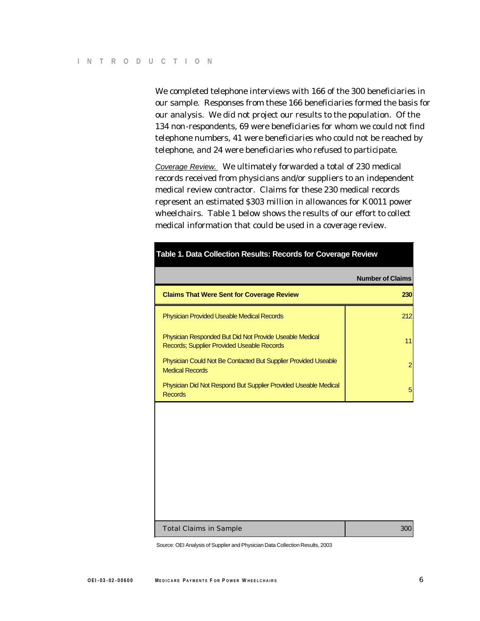We completed telephone interviews with 166 of the 300 beneficiaries in our sample. Responses from these 166 beneficiaries formed the basis for our analysis. We did not project our results to the population. Of the 134 non-respondents, 69 were beneficiaries for whom we could not find telephone numbers, 41 were beneficiaries who could not be reached by telephone, and 24 were beneficiaries who refused to participate.

*Coverage Review.* We ultimately forwarded a total of 230 medical records received from physicians and/or suppliers to an independent medical review contractor. Claims for these 230 medical records represent an estimated \$303 million in allowances for K0011 power wheelchairs. Table 1 below shows the results of our effort to collect medical information that could be used in a coverage review.

| Table 1. Data Collection Results: Records for Coverage Review                                         |                         |  |
|-------------------------------------------------------------------------------------------------------|-------------------------|--|
|                                                                                                       | <b>Number of Claims</b> |  |
| <b>Claims That Were Sent for Coverage Review</b>                                                      | 230                     |  |
| <b>Physician Provided Useable Medical Records</b>                                                     | 212                     |  |
| Physician Responded But Did Not Provide Useable Medical<br>Records; Supplier Provided Useable Records | 11                      |  |
| Physician Could Not Be Contacted But Supplier Provided Useable<br><b>Medical Records</b>              | $\overline{2}$          |  |
| Physician Did Not Respond But Supplier Provided Useable Medical<br><b>Records</b>                     | 5                       |  |
|                                                                                                       |                         |  |
|                                                                                                       |                         |  |
|                                                                                                       |                         |  |
|                                                                                                       |                         |  |
|                                                                                                       |                         |  |

| Total Claims in Sample | 300 |
|------------------------|-----|
|------------------------|-----|

Source: OEI Analysis of Supplier and Physician Data Collection Results, 2003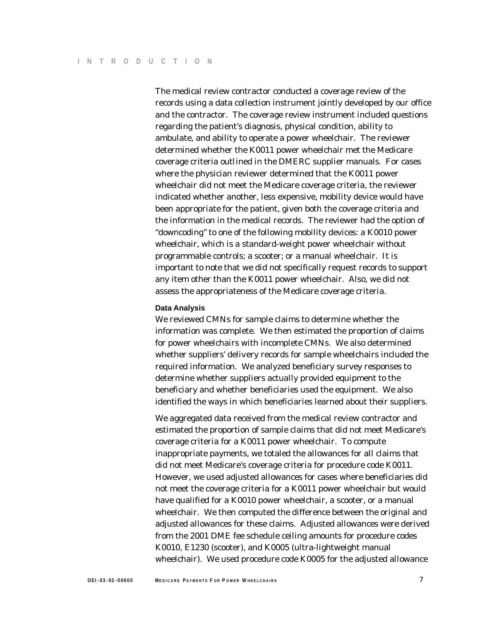The medical review contractor conducted a coverage review of the records using a data collection instrument jointly developed by our office and the contractor. The coverage review instrument included questions regarding the patient's diagnosis, physical condition, ability to ambulate, and ability to operate a power wheelchair. The reviewer determined whether the K0011 power wheelchair met the Medicare coverage criteria outlined in the DMERC supplier manuals. For cases where the physician reviewer determined that the K0011 power wheelchair did not meet the Medicare coverage criteria, the reviewer indicated whether another, less expensive, mobility device would have been appropriate for the patient, given both the coverage criteria and the information in the medical records. The reviewer had the option of "downcoding" to one of the following mobility devices: a K0010 power wheelchair, which is a standard-weight power wheelchair without programmable controls; a scooter; or a manual wheelchair. It is important to note that we did not specifically request records to support any item other than the K0011 power wheelchair. Also, we did not assess the appropriateness of the Medicare coverage criteria.

#### **Data Analysis**

We reviewed CMNs for sample claims to determine whether the information was complete. We then estimated the proportion of claims for power wheelchairs with incomplete CMNs. We also determined whether suppliers' delivery records for sample wheelchairs included the required information. We analyzed beneficiary survey responses to determine whether suppliers actually provided equipment to the beneficiary and whether beneficiaries used the equipment. We also identified the ways in which beneficiaries learned about their suppliers.

We aggregated data received from the medical review contractor and estimated the proportion of sample claims that did not meet Medicare's coverage criteria for a K0011 power wheelchair. To compute inappropriate payments, we totaled the allowances for all claims that did not meet Medicare's coverage criteria for procedure code K0011. However, we used adjusted allowances for cases where beneficiaries did not meet the coverage criteria for a K0011 power wheelchair but would have qualified for a K0010 power wheelchair, a scooter, or a manual wheelchair. We then computed the difference between the original and adjusted allowances for these claims. Adjusted allowances were derived from the 2001 DME fee schedule ceiling amounts for procedure codes K0010, E1230 (scooter), and K0005 (ultra-lightweight manual wheelchair). We used procedure code K0005 for the adjusted allowance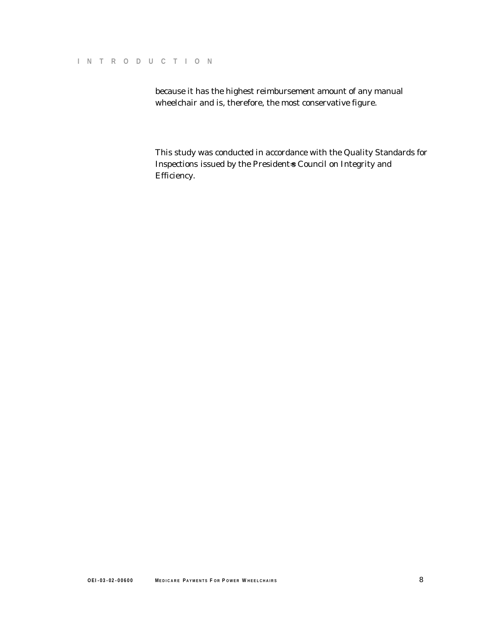because it has the highest reimbursement amount of any manual wheelchair and is, therefore, the most conservative figure.

This study was conducted in accordance with the *Quality Standards for*  Inspections issued by the President-s Council on Integrity and Efficiency.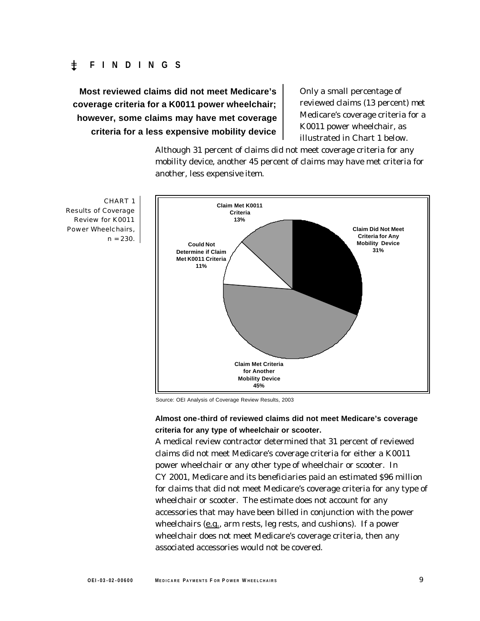## � **FINDINGS**

**Most reviewed claims did not meet Medicare's coverage criteria for a K0011 power wheelchair; however, some claims may have met coverage criteria for a less expensive mobility device** 

Only a small percentage of reviewed claims (13 percent) met Medicare's coverage criteria for a K0011 power wheelchair, as illustrated in Chart 1 below.

Although 31 percent of claims did not meet coverage criteria for any mobility device, another 45 percent of claims may have met criteria for another, less expensive item.



Source: OEI Analysis of Coverage Review Results, 2003

### **Almost one-third of reviewed claims did not meet Medicare's coverage criteria for any type of wheelchair or scooter.**

A medical review contractor determined that 31 percent of reviewed claims did not meet Medicare's coverage criteria for either a K0011 power wheelchair or any other type of wheelchair or scooter. In CY 2001, Medicare and its beneficiaries paid an estimated \$96 million for claims that did not meet Medicare's coverage criteria for any type of wheelchair or scooter. The estimate does not account for any accessories that may have been billed in conjunction with the power wheelchairs (e.g., arm rests, leg rests, and cushions). If a power wheelchair does not meet Medicare's coverage criteria, then any associated accessories would not be covered.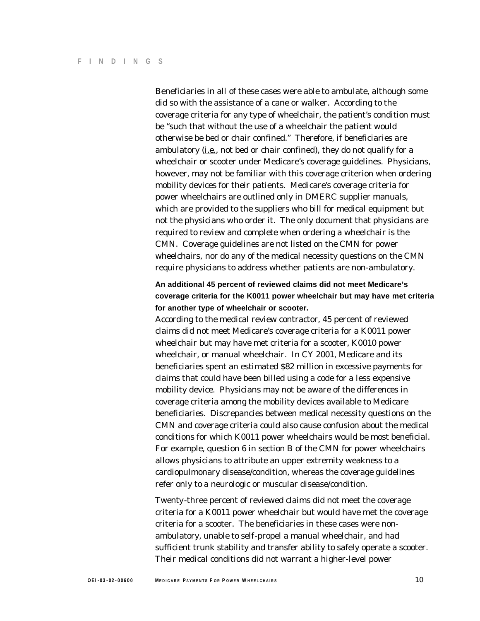Beneficiaries in all of these cases were able to ambulate, although some did so with the assistance of a cane or walker. According to the coverage criteria for any type of wheelchair, the patient's condition must be "such that without the use of a wheelchair the patient would otherwise be bed or chair confined." Therefore, if beneficiaries are ambulatory  $(i.e., not bed or chair confined)$ , they do not qualify for a wheelchair or scooter under Medicare's coverage guidelines. Physicians, however, may not be familiar with this coverage criterion when ordering mobility devices for their patients. Medicare's coverage criteria for power wheelchairs are outlined only in DMERC supplier manuals, which are provided to the suppliers who bill for medical equipment but not the physicians who order it. The only document that physicians are required to review and complete when ordering a wheelchair is the CMN. Coverage guidelines are not listed on the CMN for power wheelchairs, nor do any of the medical necessity questions on the CMN require physicians to address whether patients are non-ambulatory.

## **An additional 45 percent of reviewed claims did not meet Medicare's coverage criteria for the K0011 power wheelchair but may have met criteria for another type of wheelchair or scooter.**

According to the medical review contractor, 45 percent of reviewed claims did not meet Medicare's coverage criteria for a K0011 power wheelchair but may have met criteria for a scooter, K0010 power wheelchair, or manual wheelchair. In CY 2001, Medicare and its beneficiaries spent an estimated \$82 million in excessive payments for claims that could have been billed using a code for a less expensive mobility device. Physicians may not be aware of the differences in coverage criteria among the mobility devices available to Medicare beneficiaries. Discrepancies between medical necessity questions on the CMN and coverage criteria could also cause confusion about the medical conditions for which K0011 power wheelchairs would be most beneficial. For example, question 6 in section B of the CMN for power wheelchairs allows physicians to attribute an upper extremity weakness to a cardiopulmonary disease/condition, whereas the coverage guidelines refer only to a neurologic or muscular disease/condition.

Twenty-three percent of reviewed claims did not meet the coverage criteria for a K0011 power wheelchair but would have met the coverage criteria for a scooter. The beneficiaries in these cases were nonambulatory, unable to self-propel a manual wheelchair, and had sufficient trunk stability and transfer ability to safely operate a scooter. Their medical conditions did not warrant a higher-level power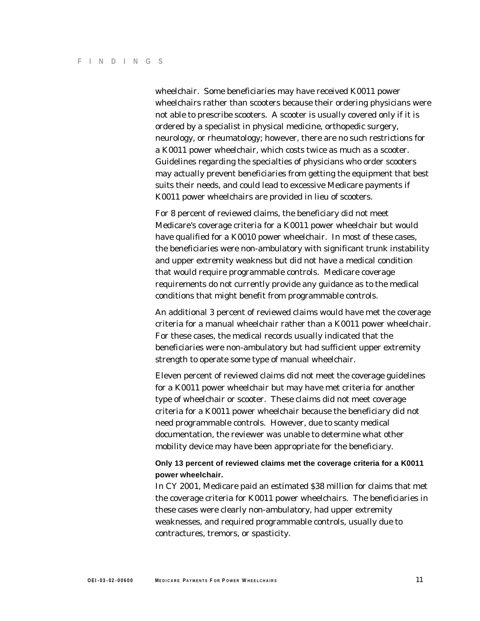wheelchair. Some beneficiaries may have received K0011 power wheelchairs rather than scooters because their ordering physicians were not able to prescribe scooters. A scooter is usually covered only if it is ordered by a specialist in physical medicine, orthopedic surgery, neurology, or rheumatology; however, there are no such restrictions for a K0011 power wheelchair, which costs twice as much as a scooter. Guidelines regarding the specialties of physicians who order scooters may actually prevent beneficiaries from getting the equipment that best suits their needs, and could lead to excessive Medicare payments if K0011 power wheelchairs are provided in lieu of scooters.

For 8 percent of reviewed claims, the beneficiary did not meet Medicare's coverage criteria for a K0011 power wheelchair but would have qualified for a K0010 power wheelchair. In most of these cases, the beneficiaries were non-ambulatory with significant trunk instability and upper extremity weakness but did not have a medical condition that would require programmable controls. Medicare coverage requirements do not currently provide any guidance as to the medical conditions that might benefit from programmable controls.

An additional 3 percent of reviewed claims would have met the coverage criteria for a manual wheelchair rather than a K0011 power wheelchair. For these cases, the medical records usually indicated that the beneficiaries were non-ambulatory but had sufficient upper extremity strength to operate some type of manual wheelchair.

Eleven percent of reviewed claims did not meet the coverage guidelines for a K0011 power wheelchair but may have met criteria for another type of wheelchair or scooter. These claims did not meet coverage criteria for a K0011 power wheelchair because the beneficiary did not need programmable controls. However, due to scanty medical documentation, the reviewer was unable to determine what other mobility device may have been appropriate for the beneficiary.

#### **Only 13 percent of reviewed claims met the coverage criteria for a K0011 power wheelchair.**

In CY 2001, Medicare paid an estimated \$38 million for claims that met the coverage criteria for K0011 power wheelchairs. The beneficiaries in these cases were clearly non-ambulatory, had upper extremity weaknesses, and required programmable controls, usually due to contractures, tremors, or spasticity.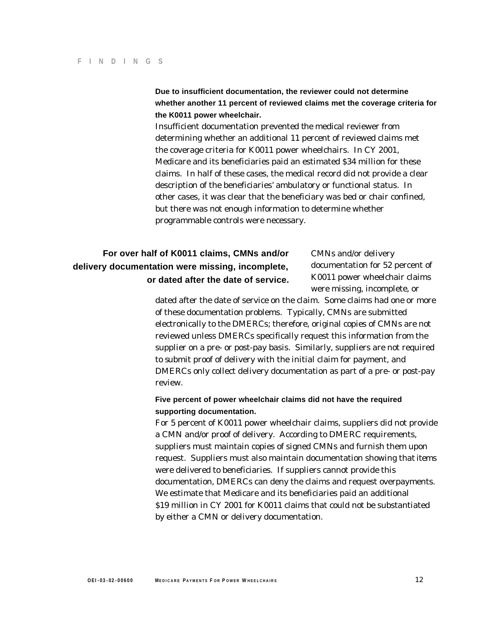**Due to insufficient documentation, the reviewer could not determine whether another 11 percent of reviewed claims met the coverage criteria for the K0011 power wheelchair.** 

Insufficient documentation prevented the medical reviewer from determining whether an additional 11 percent of reviewed claims met the coverage criteria for K0011 power wheelchairs. In CY 2001, Medicare and its beneficiaries paid an estimated \$34 million for these claims. In half of these cases, the medical record did not provide a clear description of the beneficiaries' ambulatory or functional status. In other cases, it was clear that the beneficiary was bed or chair confined, but there was not enough information to determine whether programmable controls were necessary.

# **For over half of K0011 claims, CMNs and/or** CMNs and/or delivery **delivery documentation were missing, incomplete,** documentation for 52 percent of **or dated after the date of service.** K0011 power wheelchair claims

were missing, incomplete, or

dated after the date of service on the claim. Some claims had one or more of these documentation problems. Typically, CMNs are submitted electronically to the DMERCs; therefore, original copies of CMNs are not reviewed unless DMERCs specifically request this information from the supplier on a pre- or post-pay basis. Similarly, suppliers are not required to submit proof of delivery with the initial claim for payment, and DMERCs only collect delivery documentation as part of a pre- or post-pay review.

### **Five percent of power wheelchair claims did not have the required supporting documentation.**

For 5 percent of K0011 power wheelchair claims, suppliers did not provide a CMN and/or proof of delivery. According to DMERC requirements, suppliers must maintain copies of signed CMNs and furnish them upon request. Suppliers must also maintain documentation showing that items were delivered to beneficiaries. If suppliers cannot provide this documentation, DMERCs can deny the claims and request overpayments. We estimate that Medicare and its beneficiaries paid an additional \$19 million in CY 2001 for K0011 claims that could not be substantiated by either a CMN or delivery documentation.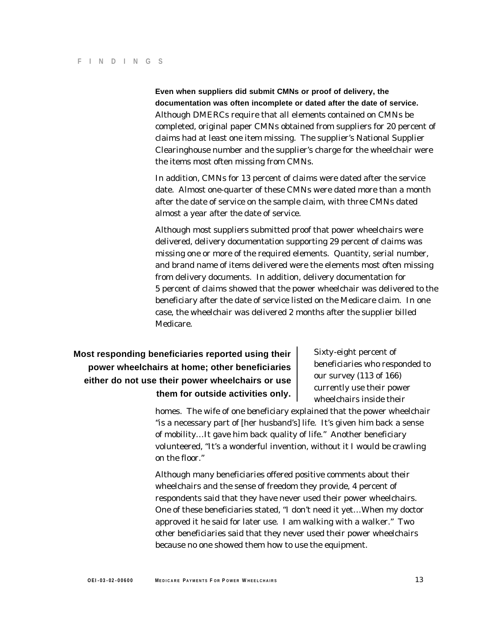**Even when suppliers did submit CMNs or proof of delivery, the documentation was often incomplete or dated after the date of service.**  Although DMERCs require that all elements contained on CMNs be completed, original paper CMNs obtained from suppliers for 20 percent of claims had at least one item missing. The supplier's National Supplier Clearinghouse number and the supplier's charge for the wheelchair were the items most often missing from CMNs.

In addition, CMNs for 13 percent of claims were dated after the service date. Almost one-quarter of these CMNs were dated more than a month after the date of service on the sample claim, with three CMNs dated almost a year after the date of service.

Although most suppliers submitted proof that power wheelchairs were delivered, delivery documentation supporting 29 percent of claims was missing one or more of the required elements. Quantity, serial number, and brand name of items delivered were the elements most often missing from delivery documents. In addition, delivery documentation for 5 percent of claims showed that the power wheelchair was delivered to the beneficiary after the date of service listed on the Medicare claim. In one case, the wheelchair was delivered 2 months after the supplier billed Medicare.

# **Most responding beneficiaries reported using their** Sixty-eight percent of **power wheelchairs at home; other beneficiaries** beneficiaries who responded to beneficiaries who responded to our survey (113 of 166) either do not use their power wheelchairs or use **our survey (113 of 166)**<br>currently use their power them for outside activities only. **We use the functional value of the state of the interpretational value of the interpretational value of the interpretational value of the interpretational value of the interpretational va**

homes. The wife of one beneficiary explained that the power wheelchair "is a necessary part of [her husband's] life. It's given him back a sense of mobility…It gave him back quality of life." Another beneficiary volunteered, "It's a wonderful invention, without it I would be crawling on the floor."

Although many beneficiaries offered positive comments about their wheelchairs and the sense of freedom they provide, 4 percent of respondents said that they have never used their power wheelchairs. One of these beneficiaries stated, "I don't need it yet…When my doctor approved it he said for later use. I am walking with a walker." Two other beneficiaries said that they never used their power wheelchairs because no one showed them how to use the equipment.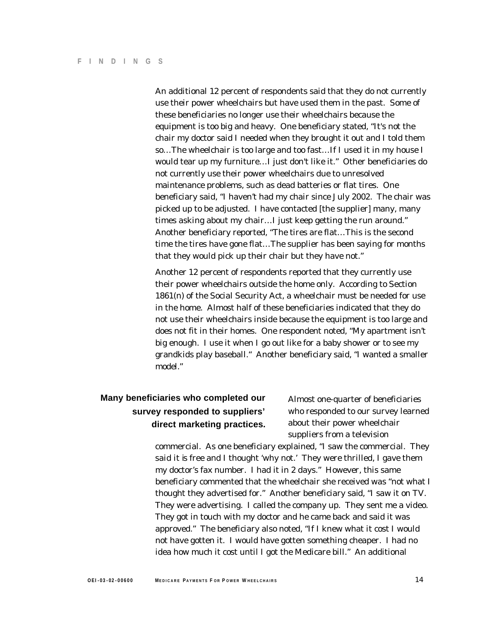An additional 12 percent of respondents said that they do not currently use their power wheelchairs but have used them in the past. Some of these beneficiaries no longer use their wheelchairs because the equipment is too big and heavy. One beneficiary stated, "It's not the chair my doctor said I needed when they brought it out and I told them so…The wheelchair is too large and too fast…If I used it in my house I would tear up my furniture…I just don't like it." Other beneficiaries do not currently use their power wheelchairs due to unresolved maintenance problems, such as dead batteries or flat tires. One beneficiary said, "I haven't had my chair since July 2002. The chair was picked up to be adjusted. I have contacted [the supplier] many, many times asking about my chair…I just keep getting the run around." Another beneficiary reported, "The tires are flat…This is the second time the tires have gone flat…The supplier has been saying for months that they would pick up their chair but they have not."

Another 12 percent of respondents reported that they currently use their power wheelchairs outside the home only. According to Section 1861(n) of the Social Security Act, a wheelchair must be needed for use in the home. Almost half of these beneficiaries indicated that they do not use their wheelchairs inside because the equipment is too large and does not fit in their homes. One respondent noted, "My apartment isn't big enough. I use it when I go out like for a baby shower or to see my grandkids play baseball." Another beneficiary said, "I wanted a smaller model."

# **Many beneficiaries who completed our** Almost one-quarter of beneficiaries **direct marketing practices.** about their power wheelchair

**survey responded to suppliers'** who responded to our survey learned suppliers from a television

commercial. As one beneficiary explained, "I saw the commercial. They said it is free and I thought 'why not.' They were thrilled, I gave them my doctor's fax number. I had it in 2 days." However, this same beneficiary commented that the wheelchair she received was "not what I thought they advertised for." Another beneficiary said, "I saw it on TV. They were advertising. I called the company up. They sent me a video. They got in touch with my doctor and he came back and said it was approved." The beneficiary also noted, "If I knew what it cost I would not have gotten it. I would have gotten something cheaper. I had no idea how much it cost until I got the Medicare bill." An additional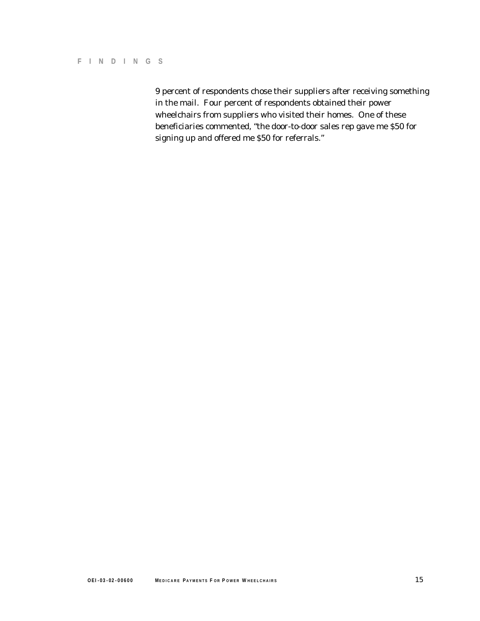9 percent of respondents chose their suppliers after receiving something in the mail. Four percent of respondents obtained their power wheelchairs from suppliers who visited their homes. One of these beneficiaries commented, "the door-to-door sales rep gave me \$50 for signing up and offered me \$50 for referrals."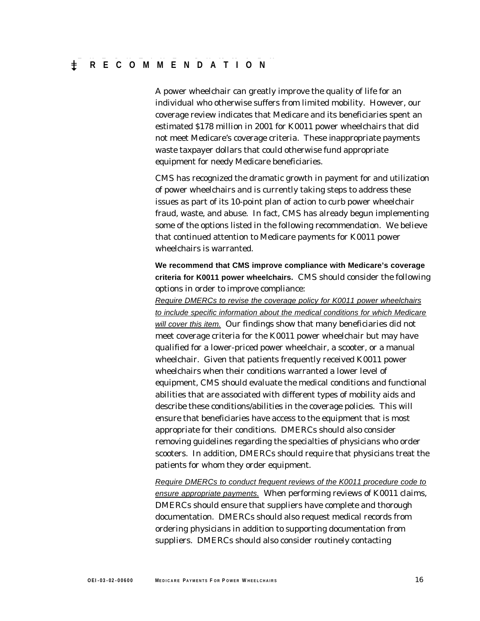A power wheelchair can greatly improve the quality of life for an individual who otherwise suffers from limited mobility. However, our coverage review indicates that Medicare and its beneficiaries spent an estimated \$178 million in 2001 for K0011 power wheelchairs that did not meet Medicare's coverage criteria. These inappropriate payments waste taxpayer dollars that could otherwise fund appropriate equipment for needy Medicare beneficiaries.

CMS has recognized the dramatic growth in payment for and utilization of power wheelchairs and is currently taking steps to address these issues as part of its 10-point plan of action to curb power wheelchair fraud, waste, and abuse. In fact, CMS has already begun implementing some of the options listed in the following recommendation. We believe that continued attention to Medicare payments for K0011 power wheelchairs is warranted.

**We recommend that CMS improve compliance with Medicare's coverage criteria for K0011 power wheelchairs.** CMS should consider the following options in order to improve compliance:

*Require DMERCs to revise the coverage policy for K0011 power wheelchairs to include specific information about the medical conditions for which Medicare will cover this item.* Our findings show that many beneficiaries did not meet coverage criteria for the K0011 power wheelchair but may have qualified for a lower-priced power wheelchair, a scooter, or a manual wheelchair. Given that patients frequently received K0011 power wheelchairs when their conditions warranted a lower level of equipment, CMS should evaluate the medical conditions and functional abilities that are associated with different types of mobility aids and describe these conditions/abilities in the coverage policies. This will ensure that beneficiaries have access to the equipment that is most appropriate for their conditions. DMERCs should also consider removing guidelines regarding the specialties of physicians who order scooters. In addition, DMERCs should require that physicians treat the patients for whom they order equipment.

*Require DMERCs to conduct frequent reviews of the K0011 procedure code to ensure appropriate payments.* When performing reviews of K0011 claims, DMERCs should ensure that suppliers have complete and thorough documentation. DMERCs should also request medical records from ordering physicians in addition to supporting documentation from suppliers. DMERCs should also consider routinely contacting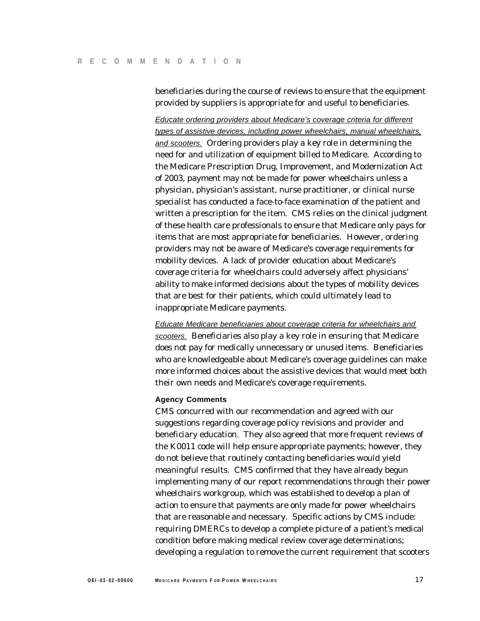beneficiaries during the course of reviews to ensure that the equipment provided by suppliers is appropriate for and useful to beneficiaries.

*Educate ordering providers about Medicare's coverage criteria for different types of assistive devices, including power wheelchairs, manual wheelchairs, and scooters.* Ordering providers play a key role in determining the need for and utilization of equipment billed to Medicare. According to the Medicare Prescription Drug, Improvement, and Modernization Act of 2003, payment may not be made for power wheelchairs unless a physician, physician's assistant, nurse practitioner, or clinical nurse specialist has conducted a face-to-face examination of the patient and written a prescription for the item. CMS relies on the clinical judgment of these health care professionals to ensure that Medicare only pays for items that are most appropriate for beneficiaries. However, ordering providers may not be aware of Medicare's coverage requirements for mobility devices. A lack of provider education about Medicare's coverage criteria for wheelchairs could adversely affect physicians' ability to make informed decisions about the types of mobility devices that are best for their patients, which could ultimately lead to inappropriate Medicare payments.

*Educate Medicare beneficiaries about coverage criteria for wheelchairs and scooters.* Beneficiaries also play a key role in ensuring that Medicare does not pay for medically unnecessary or unused items. Beneficiaries who are knowledgeable about Medicare's coverage guidelines can make more informed choices about the assistive devices that would meet both their own needs and Medicare's coverage requirements.

#### **Agency Comments**

CMS concurred with our recommendation and agreed with our suggestions regarding coverage policy revisions and provider and beneficiary education. They also agreed that more frequent reviews of the K0011 code will help ensure appropriate payments; however, they do not believe that routinely contacting beneficiaries would yield meaningful results. CMS confirmed that they have already begun implementing many of our report recommendations through their power wheelchairs workgroup, which was established to develop a plan of action to ensure that payments are only made for power wheelchairs that are reasonable and necessary. Specific actions by CMS include: requiring DMERCs to develop a complete picture of a patient's medical condition before making medical review coverage determinations; developing a regulation to remove the current requirement that scooters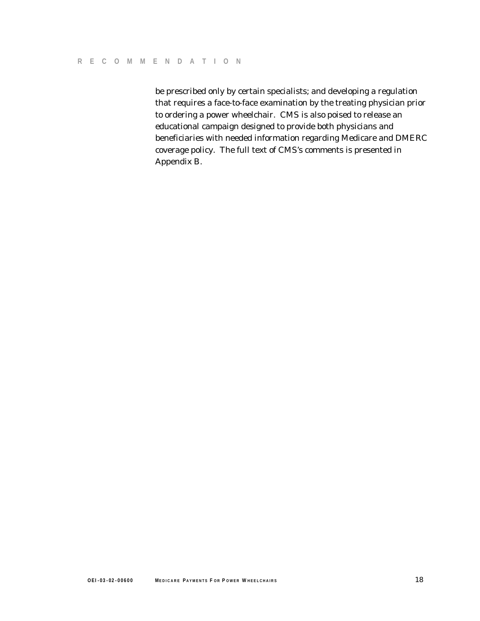be prescribed only by certain specialists; and developing a regulation that requires a face-to-face examination by the treating physician prior to ordering a power wheelchair. CMS is also poised to release an educational campaign designed to provide both physicians and beneficiaries with needed information regarding Medicare and DMERC coverage policy. The full text of CMS's comments is presented in Appendix B.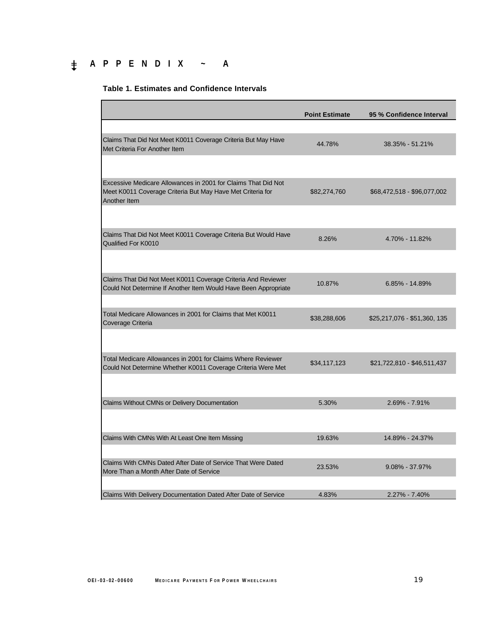# � **APPENDIX ~ A**

#### **Table 1. Estimates and Confidence Intervals**

|                                                                                                                                             | <b>Point Estimate</b> | 95 % Confidence Interval     |
|---------------------------------------------------------------------------------------------------------------------------------------------|-----------------------|------------------------------|
|                                                                                                                                             |                       |                              |
| Claims That Did Not Meet K0011 Coverage Criteria But May Have<br>Met Criteria For Another Item                                              | 44.78%                | 38.35% - 51.21%              |
|                                                                                                                                             |                       |                              |
| Excessive Medicare Allowances in 2001 for Claims That Did Not<br>Meet K0011 Coverage Criteria But May Have Met Criteria for<br>Another Item | \$82,274,760          | \$68,472,518 - \$96,077,002  |
|                                                                                                                                             |                       |                              |
| Claims That Did Not Meet K0011 Coverage Criteria But Would Have<br>Qualified For K0010                                                      | 8.26%                 | 4.70% - 11.82%               |
|                                                                                                                                             |                       |                              |
| Claims That Did Not Meet K0011 Coverage Criteria And Reviewer<br>Could Not Determine If Another Item Would Have Been Appropriate            | 10.87%                | 6.85% - 14.89%               |
|                                                                                                                                             |                       |                              |
| Total Medicare Allowances in 2001 for Claims that Met K0011<br>Coverage Criteria                                                            | \$38,288,606          | \$25,217,076 - \$51,360, 135 |
|                                                                                                                                             |                       |                              |
| Total Medicare Allowances in 2001 for Claims Where Reviewer<br>Could Not Determine Whether K0011 Coverage Criteria Were Met                 | \$34,117,123          | \$21,722,810 - \$46,511,437  |
|                                                                                                                                             |                       |                              |
| Claims Without CMNs or Delivery Documentation                                                                                               | 5.30%                 | 2.69% - 7.91%                |
|                                                                                                                                             |                       |                              |
| Claims With CMNs With At Least One Item Missing                                                                                             | 19.63%                | 14.89% - 24.37%              |
| Claims With CMNs Dated After Date of Service That Were Dated                                                                                | 23.53%                | $9.08\% - 37.97\%$           |
| More Than a Month After Date of Service                                                                                                     |                       |                              |
| Claims With Delivery Documentation Dated After Date of Service                                                                              | 4.83%                 | 2.27% - 7.40%                |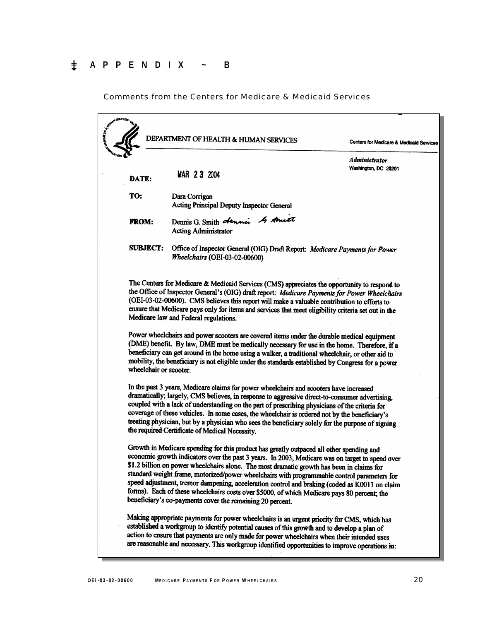Comments from the Centers for Medicare & Medicaid Services

|                        | DEPARTMENT OF HEALTH & HUMAN SERVICES                                                                                                                                                                                                                                                                                                                                                                                                                                                                                                                                                                                                                                                                                                         | Centers for Medicare & Medicaid Services |
|------------------------|-----------------------------------------------------------------------------------------------------------------------------------------------------------------------------------------------------------------------------------------------------------------------------------------------------------------------------------------------------------------------------------------------------------------------------------------------------------------------------------------------------------------------------------------------------------------------------------------------------------------------------------------------------------------------------------------------------------------------------------------------|------------------------------------------|
| DATE:                  | MAR 23 2004                                                                                                                                                                                                                                                                                                                                                                                                                                                                                                                                                                                                                                                                                                                                   | Administrator<br>Washington, DC 20201    |
| TO:                    | Dara Corrigan<br>Acting Principal Deputy Inspector General                                                                                                                                                                                                                                                                                                                                                                                                                                                                                                                                                                                                                                                                                    |                                          |
| <b>FROM:</b>           | Dennis G. Smith dennis 4 Amet<br><b>Acting Administrator</b>                                                                                                                                                                                                                                                                                                                                                                                                                                                                                                                                                                                                                                                                                  |                                          |
| <b>SUBJECT:</b>        | Office of Inspector General (OIG) Draft Report: Medicare Payments for Power<br>Wheelchairs (OEI-03-02-00600)                                                                                                                                                                                                                                                                                                                                                                                                                                                                                                                                                                                                                                  |                                          |
|                        | The Centers for Medicare & Medicaid Services (CMS) appreciates the opportunity to respond to<br>the Office of Inspector General's (OIG) draft report: Medicare Payments for Power Wheelchairs<br>(OEI-03-02-00600). CMS believes this report will make a valuable contribution to efforts to<br>ensure that Medicare pays only for items and services that meet eligibility criteria set out in the<br>Medicare law and Federal regulations.<br>Power wheelchairs and power scooters are covered items under the durable medical equipment<br>(DME) benefit. By law, DME must be medically necessary for use in the home. Therefore, if a<br>beneficiary can get around in the home using a walker, a traditional wheelchair, or other aid to |                                          |
| wheelchair or scooter. | mobility, the beneficiary is not eligible under the standards established by Congress for a power<br>In the past 3 years, Medicare claims for power wheelchairs and scooters have increased<br>dramatically; largely, CMS believes, in response to aggressive direct-to-consumer advertising,<br>coupled with a lack of understanding on the part of prescribing physicians of the criteria for<br>coverage of these vehicles. In some cases, the wheelchair is ordered not by the beneficiary's<br>treating physician, but by a physician who sees the beneficiary solely for the purpose of signing<br>the required Certificate of Medical Necessity.                                                                                       |                                          |
|                        | Growth in Medicare spending for this product has greatly outpaced all other spending and                                                                                                                                                                                                                                                                                                                                                                                                                                                                                                                                                                                                                                                      |                                          |
|                        | economic growth indicators over the past 3 years. In 2003, Medicare was on target to spend over<br>\$1.2 billion on power wheelchairs alone. The most dramatic growth has been in claims for<br>standard weight frame, motorized/power wheelchairs with programmable control parameters for<br>speed adjustment, tremor dampening, acceleration control and braking (coded as K0011 on claim<br>forms). Each of these wheelchairs costs over \$5000, of which Medicare pays 80 percent; the<br>beneficiary's co-payments cover the remaining 20 percent.                                                                                                                                                                                      |                                          |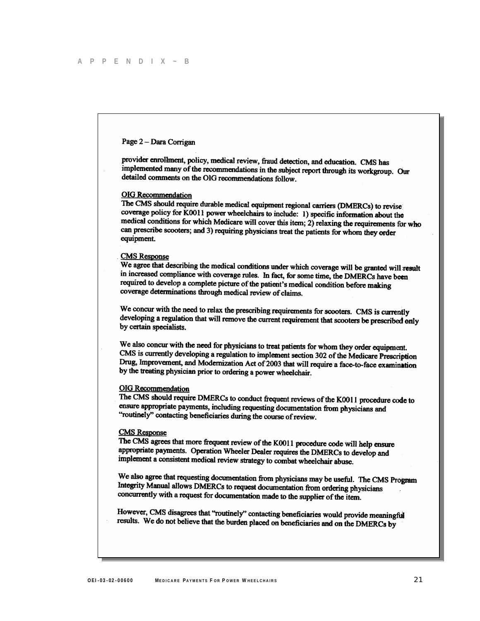#### Page 2 - Dara Corrigan

provider enrollment, policy, medical review, fraud detection, and education. CMS has implemented many of the recommendations in the subject report through its workgroup. Our detailed comments on the OIG recommendations follow.

#### **OIG** Recommendation

The CMS should require durable medical equipment regional carriers (DMERCs) to revise coverage policy for K0011 power wheelchairs to include: 1) specific information about the medical conditions for which Medicare will cover this item; 2) relaxing the requirements for who can prescribe scooters; and 3) requiring physicians treat the patients for whom they order equipment.

#### **CMS** Response

We agree that describing the medical conditions under which coverage will be granted will result in increased compliance with coverage rules. In fact, for some time, the DMERCs have been required to develop a complete picture of the patient's medical condition before making coverage determinations through medical review of claims.

We concur with the need to relax the prescribing requirements for scooters. CMS is currently developing a regulation that will remove the current requirement that scooters. CMS is currently<br>hereboring a regulation that will remove the current requirement that scooters be prescribed only by certain specialists.

We also concur with the need for physicians to treat patients for whom they order equipment. CMS is currently developing a regulation to implement section 302 of the Medicare Prescription Drug, Improvement, and Modernization Act of 2003 that will require a face-to-face examination by the treating physician prior to ordering a power wheelchair.

#### **OIG** Recommendation

The CMS should require DMERCs to conduct frequent reviews of the K0011 procedure code to ensure appropriate payments, including requesting documentation from physicians and "routinely" contacting beneficiaries during the course of review.

#### **CMS** Response

The CMS agrees that more frequent review of the K0011 procedure code will help ensure appropriate payments. Operation Wheeler Dealer requires the DMERCs to develop and implement a consistent medical review strategy to combat wheelchair abuse.

We also agree that requesting documentation from physicians may be useful. The CMS Program Integrity Manual allows DMERCs to request documentation from ordering physicians concurrently with a request for documentation made to the supplier of the item.

However, CMS disagrees that "routinely" contacting beneficiaries would provide meaningful results. We do not believe that the burden placed on beneficiaries would provide meaning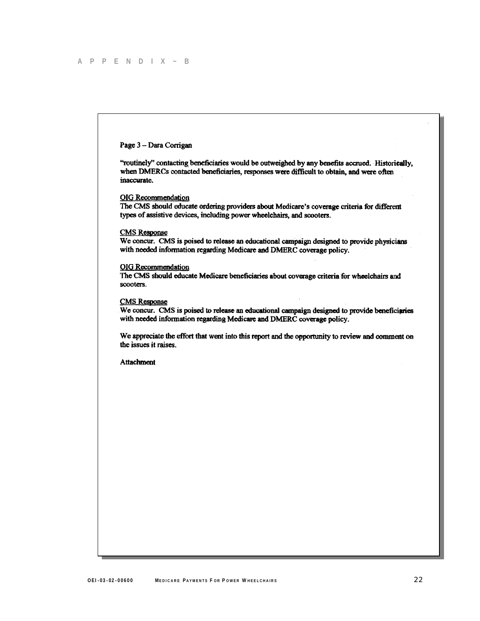#### Page 3 - Dara Corrigan

"routinely" contacting beneficiaries would be outweighed by any benefits accrued. Historically, when DMERCs contacted beneficiaries, responses were difficult to obtain, and were often inaccurate.

**OIG** Recommendation

The CMS should educate ordering providers about Medicare's coverage criteria for different types of assistive devices, including power wheelchairs, and scooters.

#### **CMS** Response

We concur. CMS is poised to release an educational campaign designed to provide physicians with needed information regarding Medicare and DMERC coverage policy.

#### **OIG** Recommendation

The CMS should educate Medicare beneficiaries about coverage criteria for wheelchairs and scooters.

#### **CMS Response**

We concur. CMS is poised to release an educational campaign designed to provide beneficiaries with needed information regarding Medicare and DMERC coverage policy.

We appreciate the effort that went into this report and the opportunity to review and comment on the issues it raises.

**Attachment**